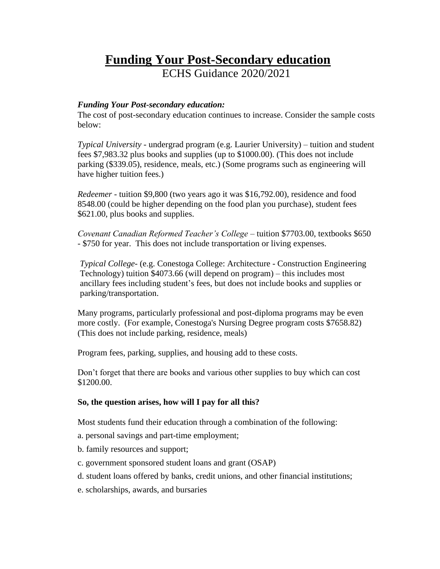# **Funding Your Post-Secondary education**

ECHS Guidance 2020/2021

## *Funding Your Post-secondary education:*

The cost of post-secondary education continues to increase. Consider the sample costs below:

*Typical University* - undergrad program (e.g. Laurier University) – tuition and student fees \$7,983.32 plus books and supplies (up to \$1000.00). (This does not include parking (\$339.05), residence, meals, etc.) (Some programs such as engineering will have higher tuition fees.)

*Redeemer* - tuition \$9,800 (two years ago it was \$16,792.00), residence and food 8548.00 (could be higher depending on the food plan you purchase), student fees \$621.00, plus books and supplies.

*Covenant Canadian Reformed Teacher's College* – tuition \$7703.00, textbooks \$650 - \$750 for year. This does not include transportation or living expenses.

*Typical College*- (e.g. Conestoga College: Architecture - Construction Engineering Technology) tuition \$4073.66 (will depend on program) – this includes most ancillary fees including student's fees, but does not include books and supplies or parking/transportation.

Many programs, particularly professional and post-diploma programs may be even more costly. (For example, Conestoga's Nursing Degree program costs \$7658.82) (This does not include parking, residence, meals)

Program fees, parking, supplies, and housing add to these costs.

Don't forget that there are books and various other supplies to buy which can cost \$1200.00.

## **So, the question arises, how will I pay for all this?**

Most students fund their education through a combination of the following:

- a. personal savings and part-time employment;
- b. family resources and support;
- c. government sponsored student loans and grant (OSAP)
- d. student loans offered by banks, credit unions, and other financial institutions;
- e. scholarships, awards, and bursaries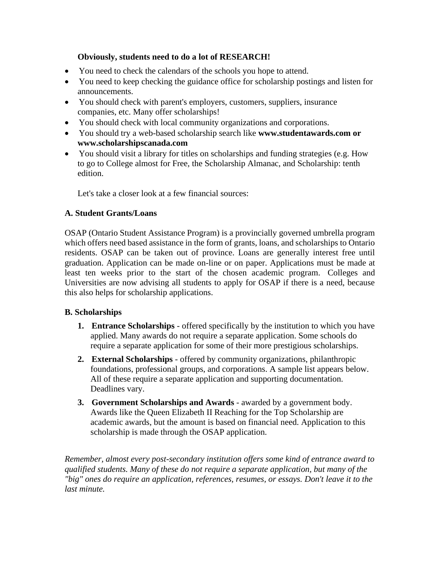# **Obviously, students need to do a lot of RESEARCH!**

- You need to check the calendars of the schools you hope to attend.
- You need to keep checking the guidance office for scholarship postings and listen for announcements.
- You should check with parent's employers, customers, suppliers, insurance companies, etc. Many offer scholarships!
- You should check with local community organizations and corporations.
- You should try a web-based scholarship search like **www.studentawards.com or www.scholarshipscanada.com**
- You should visit a library for titles on scholarships and funding strategies (e.g. How to go to College almost for Free, the Scholarship Almanac, and Scholarship: tenth edition.

Let's take a closer look at a few financial sources:

# **A. Student Grants/Loans**

OSAP (Ontario Student Assistance Program) is a provincially governed umbrella program which offers need based assistance in the form of grants, loans, and scholarships to Ontario residents. OSAP can be taken out of province. Loans are generally interest free until graduation. Application can be made on-line or on paper. Applications must be made at least ten weeks prior to the start of the chosen academic program. Colleges and Universities are now advising all students to apply for OSAP if there is a need, because this also helps for scholarship applications.

# **B. Scholarships**

- **1. Entrance Scholarships**  offered specifically by the institution to which you have applied. Many awards do not require a separate application. Some schools do require a separate application for some of their more prestigious scholarships.
- **2. External Scholarships** offered by community organizations, philanthropic foundations, professional groups, and corporations. A sample list appears below. All of these require a separate application and supporting documentation. Deadlines vary.
- **3. Government Scholarships and Awards** awarded by a government body. Awards like the Queen Elizabeth II Reaching for the Top Scholarship are academic awards, but the amount is based on financial need. Application to this scholarship is made through the OSAP application.

*Remember, almost every post-secondary institution offers some kind of entrance award to qualified students. Many of these do not require a separate application, but many of the "big" ones do require an application, references, resumes, or essays. Don't leave it to the last minute.*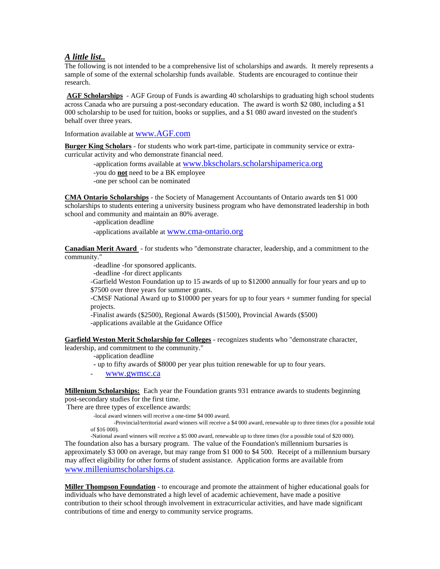## *A little list..*

The following is not intended to be a comprehensive list of scholarships and awards. It merely represents a sample of some of the external scholarship funds available. Students are encouraged to continue their research.

**AGF Scholarships** - AGF Group of Funds is awarding 40 scholarships to graduating high school students across Canada who are pursuing a post-secondary education. The award is worth \$2 080, including a \$1 000 scholarship to be used for tuition, books or supplies, and a \$1 080 award invested on the student's behalf over three years.

Information available at [www.AGF.com](http://www.agf.com/)

**Burger King Scholars** - for students who work part-time, participate in community service or extracurricular activity and who demonstrate financial need.

-application forms available at [www.bkscholars.scholarshipamerica.org](http://www.bkscholars.scholarshipamerica.org/) -you do **not** need to be a BK employee -one per school can be nominated

**CMA Ontario Scholarships** - the Society of Management Accountants of Ontario awards ten \$1 000 scholarships to students entering a university business program who have demonstrated leadership in both school and community and maintain an 80% average.

-application deadline

-applications available at [www.cma-ontario.org](http://www.cma-ontario.org/)

**Canadian Merit Award** - for students who "demonstrate character, leadership, and a commitment to the community."

-deadline -for sponsored applicants.

-deadline -for direct applicants

-Garfield Weston Foundation up to 15 awards of up to \$12000 annually for four years and up to \$7500 over three years for summer grants.

-CMSF National Award up to \$10000 per years for up to four years + summer funding for special projects.

-Finalist awards (\$2500), Regional Awards (\$1500), Provincial Awards (\$500) -applications available at the Guidance Office

**Garfield Weston Merit Scholarship for Colleges** - recognizes students who "demonstrate character, leadership, and commitment to the community."

-application deadline

 **-** up to fifty awards of \$8000 per year plus tuition renewable for up to four years.

- [www.gwmsc.ca](http://www.gwmsc.ca/)

**Millenium Scholarships:** Each year the Foundation grants 931 entrance awards to students beginning post-secondary studies for the first time.

There are three types of excellence awards:

-local award winners will receive a one-time \$4 000 award.

 -Provincial/territorial award winners will receive a \$4 000 award, renewable up to three times (for a possible total of \$16 000).

-National award winners will receive a \$5 000 award, renewable up to three times (for a possible total of \$20 000). The foundation also has a bursary program. The value of the Foundation's millennium bursaries is approximately \$3 000 on average, but may range from \$1 000 to \$4 500. Receipt of a millennium bursary may affect eligibility for other forms of student assistance. Application forms are available from [www.milleniumscholarships.ca](http://www.milleniumscholarships.ca/).

**Miller Thompson Foundation** - to encourage and promote the attainment of higher educational goals for individuals who have demonstrated a high level of academic achievement, have made a positive contribution to their school through involvement in extracurricular activities, and have made significant contributions of time and energy to community service programs.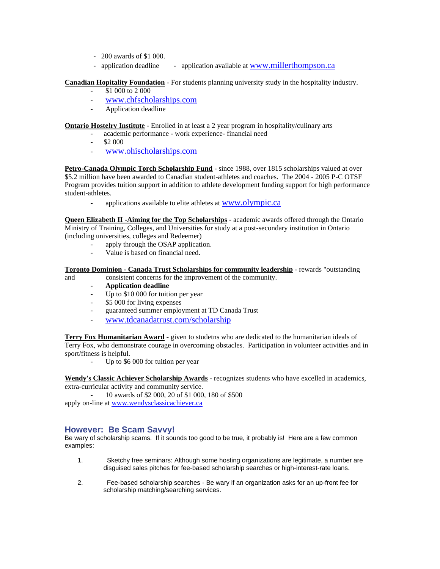- 200 awards of \$1 000.
- application deadline application available at [www.millerthompson.ca](http://www.millerthompson.ca/)

#### **Canadian Hopitality Foundation** - For students planning university study in the hospitality industry.

- \$1 000 to 2 000
	- [www.chfscholarships.com](http://www.chfscholarships.com/)
	- Application deadline

#### **Ontario Hostelry Institute** - Enrolled in at least a 2 year program in hospitality/culinary arts

- academic performance work experience- financial need
- \$2 000
- [www.ohischolarships.com](http://www.ohischolarships.com/)

**Petro-Canada Olympic Torch Scholarship Fund** - since 1988, over 1815 scholarships valued at over \$5.2 million have been awarded to Canadian student-athletes and coaches. The 2004 - 2005 P-C OTSF Program provides tuition support in addition to athlete development funding support for high performance student-athletes.

applications available to elite athletes at [www.olympic.ca](http://www.olympic.ca/)

**Queen Elizabeth II -Aiming for the Top Scholarships** - academic awards offered through the Ontario Ministry of Training, Colleges, and Universities for study at a post-secondary institution in Ontario (including universities, colleges and Redeemer)

- apply through the OSAP application.
- Value is based on financial need.

#### **Toronto Dominion - Canada Trust Scholarships for community leadership** - rewards "outstanding

and consistent concerns for the improvement of the community.

- **Application deadline**
- Up to \$10 000 for tuition per year
- \$5 000 for living expenses
- guaranteed summer employment at TD Canada Trust
- [www.tdcanadatrust.com/scholarship](http://www.tdcanadatrust.com/scholarship)

**Terry Fox Humanitarian Award** - given to studetns who are dedicated to the humanitarian ideals of Terry Fox, who demonstrate courage in overcoming obstacles. Participation in volunteer activities and in sport/fitness is helpful.

Up to \$6 000 for tuition per year

**Wendy's Classic Achiever Scholarship Awards** - recognizes students who have excelled in academics, extra-curricular activity and community service.

- 10 awards of \$2 000, 20 of \$1 000, 180 of \$500 apply on-line at [www.wendysclassicachiever.ca](http://www.wendysclassicachiever.ca/)

### **However: Be Scam Savvy!**

Be wary of scholarship scams. If it sounds too good to be true, it probably is! Here are a few common examples:

- 1. Sketchy free seminars: Although some hosting organizations are legitimate, a number are disguised sales pitches for fee-based scholarship searches or high-interest-rate loans.
- 2. Fee-based scholarship searches Be wary if an organization asks for an up-front fee for scholarship matching/searching services.